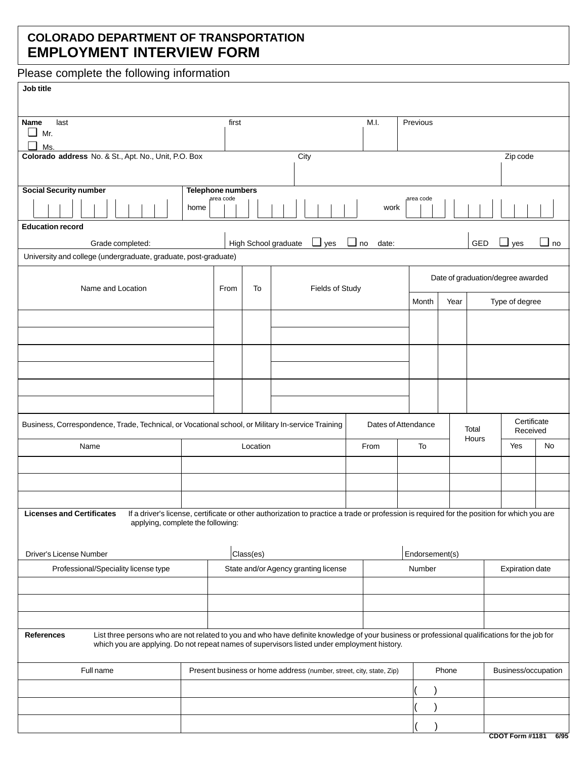## **COLORADO DEPARTMENT OF TRANSPORTATION EMPLOYMENT INTERVIEW FORM**

Please complete the following information

## **Job title**

| Name<br>last                                                                                                                                                                                                                                                      |                                                                     | first                         |           |                                                                                                                                            | M.I.  | Previous                          |                |                |                         |           |  |
|-------------------------------------------------------------------------------------------------------------------------------------------------------------------------------------------------------------------------------------------------------------------|---------------------------------------------------------------------|-------------------------------|-----------|--------------------------------------------------------------------------------------------------------------------------------------------|-------|-----------------------------------|----------------|----------------|-------------------------|-----------|--|
| $\Box$ Mr.                                                                                                                                                                                                                                                        |                                                                     |                               |           |                                                                                                                                            |       |                                   |                |                |                         |           |  |
| $\Box$<br>Ms.<br>Colorado address No. & St., Apt. No., Unit, P.O. Box                                                                                                                                                                                             |                                                                     |                               |           | City                                                                                                                                       |       |                                   |                |                | Zip code                |           |  |
|                                                                                                                                                                                                                                                                   |                                                                     |                               |           |                                                                                                                                            |       |                                   |                |                |                         |           |  |
| <b>Social Security number</b>                                                                                                                                                                                                                                     |                                                                     | Telephone numbers             |           |                                                                                                                                            |       |                                   |                |                |                         |           |  |
|                                                                                                                                                                                                                                                                   | home                                                                | area code                     |           |                                                                                                                                            | work  | area code                         |                |                |                         |           |  |
| <b>Education record</b>                                                                                                                                                                                                                                           |                                                                     |                               |           |                                                                                                                                            |       |                                   |                |                |                         |           |  |
| Grade completed:                                                                                                                                                                                                                                                  |                                                                     |                               |           | $\Box$ yes $\Box$ no<br>High School graduate                                                                                               | date: |                                   |                | GED            | $\Box$ yes              | $\Box$ no |  |
| University and college (undergraduate, graduate, post-graduate)                                                                                                                                                                                                   |                                                                     |                               |           |                                                                                                                                            |       |                                   |                |                |                         |           |  |
| Name and Location                                                                                                                                                                                                                                                 |                                                                     | Fields of Study<br>To<br>From |           |                                                                                                                                            |       | Date of graduation/degree awarded |                |                |                         |           |  |
|                                                                                                                                                                                                                                                                   |                                                                     |                               |           |                                                                                                                                            |       | Month                             | Year           | Type of degree |                         |           |  |
|                                                                                                                                                                                                                                                                   |                                                                     |                               |           |                                                                                                                                            |       |                                   |                |                |                         |           |  |
|                                                                                                                                                                                                                                                                   |                                                                     |                               |           |                                                                                                                                            |       |                                   |                |                |                         |           |  |
|                                                                                                                                                                                                                                                                   |                                                                     |                               |           |                                                                                                                                            |       |                                   |                |                |                         |           |  |
|                                                                                                                                                                                                                                                                   |                                                                     |                               |           |                                                                                                                                            |       |                                   |                |                |                         |           |  |
|                                                                                                                                                                                                                                                                   |                                                                     |                               |           |                                                                                                                                            |       |                                   |                |                |                         |           |  |
|                                                                                                                                                                                                                                                                   |                                                                     |                               |           |                                                                                                                                            |       |                                   |                |                |                         |           |  |
|                                                                                                                                                                                                                                                                   |                                                                     |                               |           |                                                                                                                                            |       |                                   |                |                |                         |           |  |
| Business, Correspondence, Trade, Technical, or Vocational school, or Military In-service Training                                                                                                                                                                 |                                                                     |                               |           | Dates of Attendance                                                                                                                        |       |                                   | Total<br>Hours |                | Certificate<br>Received |           |  |
| Name                                                                                                                                                                                                                                                              |                                                                     |                               | Location  |                                                                                                                                            | From  | To                                |                |                | Yes                     | No        |  |
|                                                                                                                                                                                                                                                                   |                                                                     |                               |           |                                                                                                                                            |       |                                   |                |                |                         |           |  |
|                                                                                                                                                                                                                                                                   |                                                                     |                               |           |                                                                                                                                            |       |                                   |                |                |                         |           |  |
|                                                                                                                                                                                                                                                                   |                                                                     |                               |           |                                                                                                                                            |       |                                   |                |                |                         |           |  |
| <b>Licenses and Certificates</b>                                                                                                                                                                                                                                  |                                                                     |                               |           | If a driver's license, certificate or other authorization to practice a trade or profession is required for the position for which you are |       |                                   |                |                |                         |           |  |
| applying, complete the following:                                                                                                                                                                                                                                 |                                                                     |                               |           |                                                                                                                                            |       |                                   |                |                |                         |           |  |
|                                                                                                                                                                                                                                                                   |                                                                     |                               |           |                                                                                                                                            |       |                                   |                |                |                         |           |  |
| Driver's License Number                                                                                                                                                                                                                                           |                                                                     |                               | Class(es) |                                                                                                                                            |       | Endorsement(s)                    |                |                |                         |           |  |
| Professional/Speciality license type                                                                                                                                                                                                                              |                                                                     |                               |           | State and/or Agency granting license                                                                                                       |       | Number                            |                |                | <b>Expiration date</b>  |           |  |
|                                                                                                                                                                                                                                                                   |                                                                     |                               |           |                                                                                                                                            |       |                                   |                |                |                         |           |  |
|                                                                                                                                                                                                                                                                   |                                                                     |                               |           |                                                                                                                                            |       |                                   |                |                |                         |           |  |
|                                                                                                                                                                                                                                                                   |                                                                     |                               |           |                                                                                                                                            |       |                                   |                |                |                         |           |  |
| List three persons who are not related to you and who have definite knowledge of your business or professional qualifications for the job for<br><b>References</b><br>which you are applying. Do not repeat names of supervisors listed under employment history. |                                                                     |                               |           |                                                                                                                                            |       |                                   |                |                |                         |           |  |
| Full name                                                                                                                                                                                                                                                         | Present business or home address (number, street, city, state, Zip) |                               |           |                                                                                                                                            |       | Business/occupation<br>Phone      |                |                |                         |           |  |
|                                                                                                                                                                                                                                                                   |                                                                     |                               |           |                                                                                                                                            |       |                                   |                |                |                         |           |  |
|                                                                                                                                                                                                                                                                   |                                                                     |                               |           |                                                                                                                                            |       |                                   |                |                |                         |           |  |
|                                                                                                                                                                                                                                                                   |                                                                     |                               |           |                                                                                                                                            |       |                                   |                |                |                         |           |  |
|                                                                                                                                                                                                                                                                   |                                                                     |                               |           |                                                                                                                                            |       |                                   |                |                |                         |           |  |